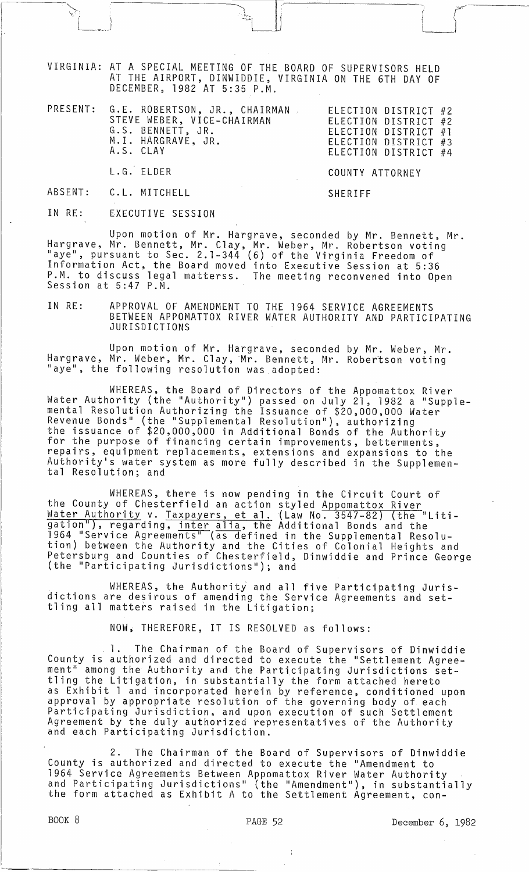VIRGINIA: AT A SPECIAL MEETING OF THE BOARD OF SUPERVISORS HELD AT THE AIRPORT, DINWIDDIE, VIRGINIA ON THE 6TH DAY OF DECEMBER, 1982 AT 5:35 P.M.

| PRESENT: G.E. ROBERTSON, JR., CHAIRMAN | ELECTION DISTRICT #2 |
|----------------------------------------|----------------------|
| STEVE WEBER, VICE-CHAIRMAN             | ELECTION DISTRICT #2 |
| G.S. BENNETT, JR.                      | ELECTION DISTRICT #1 |
| M.I. HARGRAVE, JR.                     | ELECTION DISTRICT #3 |
| A.S. CLAY                              | ELECTION DISTRICT #4 |

L.G. ELDER

COUNTY ATTORNEY

ABSENT: C. L. MITCHELL

 $\begin{matrix} \begin{matrix} \begin{matrix} 0 \\ 0 \\ 0 \\ 0 \\ 0 \\ 0 \end{matrix} \end{matrix} \end{matrix}$ 

SHERIFF

IN RE: EXECUTIVE SESSION

Upon motion of Mr. Hargrave, seconded by Mr. Bennett, Mr. Hargrave, Mr. Bennett, Mr. Clay, Mr. Weber, Mr. Robertson voting<br>"aye", pursuant to Sec. 2.1-344 (6) of the Virginia Freedom of Information Act, the Board moved into Executive Session at 5:36 P.M. to discuss legal matterss. The meeting reconvened into Open Session at 5:47 P.M.

IN RE: APPROVAL OF AMENDMENT TO THE 1964 SERVICE AGREEMENTS BETWEEN APPOMATTOX RIVER WATER AUTHORITY AND PARTICIPATING JURISDICTIONS

Upon motion of Mr. Hargrave, seconded by Mr. Weber, Mr. Hargrave, Mr. Weber, Mr. Clay, Mr. Bennett, Mr. Robertson voting<br>"aye", the following resolution was adopted:

WHEREAS, the Board of Directors of the Appomattox River Water Authority (the "Authority") passed on July 21, 1982 a "Supplemental Resolution Authorizing the Issuance of \$20,000,000 Water Revenue Bonds" (the "Supplemental Resolution"), authorizing the issuance of \$20,000,000 in Additional Bonds of the Authority<br>for the purpose of financing certain improvements, betterments, repairs, equipment replacements, extensions and expansions to the Authority's water system as more fully described in the Supplemen-<br>tal Resolution; and

WHEREAS, there is now pending in the Circuit Court of the County of Chesterfield an action styled Appomattox River Water Authority v. Taxpayers, et al. (Law No. 3547-82) (the "Litigation"), regarding, <u>inter alia</u>, the Additional Bonds and the 1964 "Service Agreements" (as defined in the Supplemental Resolution) between the Authority and the Cities of Colonial Heights and Petersburg and Counties of Chesterfield, Dinwiddie and Prince George (the "Participating Jurisdictions"); and

WHEREAS, the Authority and all five Participating Jurisdictions are desirous of amending the Service Agreements and settling all matters raised in the Litigation;

NOW, THEREFORE, IT IS RESOLVED as follows:

1. The Chairman of the Board of Supervisors of Dinwiddie County is authorized and directed to execute the "Settlement Agreement" among the Authority and the Participating Jurisdictions settling the Litigation, in substantially the form attached hereto as Exhibit 1 and incorporated herein by reference, conditioned upon<br>approval by appropriate resolution of the governing body of each Participating Jurisdiction, and upon execution of such Settlement Agreement by the duly authorized representatives of the Authority and each Participating Jurisdiction.

2. The Chairman of the Board of Supervisors of Dinwiddie County is authorized and directed to execute the "Amendment to 1964 Service Agreements Between Appomattox River Water Authority and Participating Jurisdictions" (the "Amendment"), in substantially<br>the form attached as Exhibit A to the Settlement Agreement, con-

----------------\_. ------

 $\frac{1}{k}$ 

BOOK 8 **PAGE 52 December 6, 1982**